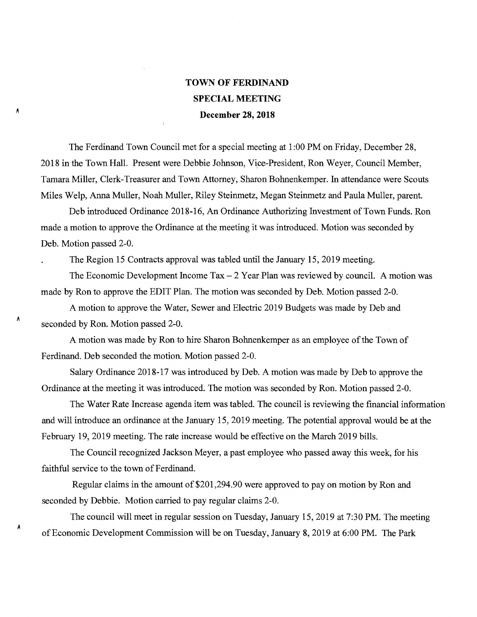## **TOWN OF FERDINAND SPECIAL MEETING December 28, 2018**

÷.

A

Å

Â

The Ferdinand Town Council met for a special meeting at 1:00 PM on Friday, December 28, 2018 in the Town Hall. Present were Debbie Johnson, Vice-President, Ron Weyer, Council Member, Tamara Miller, Clerk-Treasurer and Town Attorney, Sharon Bohnenkemper. In attendance were Scouts Miles Welp, Anna Muller, Noah Muller, Riley Steinmetz, Megan Steinmetz and Paula Muller, parent.

Deb introduced Ordinance 2018-16, An Ordinance Authorizing Investment of Town Funds. Ron made a motion to approve the Ordinance at the meeting it was introduced. Motion was seconded by Deb. Motion passed 2-0.

The Region 15 Contracts approval was tabled until the January 15, 2019 meeting.

The Economic Development Income  $Tax - 2$  Year Plan was reviewed by council. A motion was made by Ron to approve the EDIT Plan. The motion was seconded by Deb. Motion passed 2-0.

A motion to approve the Water, Sewer and Electric 2019 Budgets was made by Deb and seconded by Ron. Motion passed 2-0.

A motion was made by Ron to hire Sharon Bohnenkemper as an employee of the Town of Ferdinand. Deb seconded the motion. Motion passed 2-0.

Salary Ordinance 2018-17 was introduced by Deb. A motion was made by Deb to approve the Ordinance at the meeting it was introduced. The motion was seconded by Ron. Motion passed 2-0.

The Water Rate Increase agenda item was tabled. The council is reviewing the financial information and will introduce an ordinance at the January 15, 2019 meeting. The potential approval would be at the February 19, 2019 meeting. The rate increase would be effective on the March 2019 bills.

The Council recognized Jackson Meyer, a past employee who passed away this week, for his faithful service to the town of Ferdinand.

Regular claims in the amount of \$201,294.90 were approved to pay on motion by Ron and seconded by Debbie. Motion carried to pay regular claims 2-0.

The council will meet in regular session on Tuesday, January 15, 2019 at 7:30 PM. The meeting of Economic Development Commission will be on Tuesday, January 8, 2019 at 6:00 PM. The Park